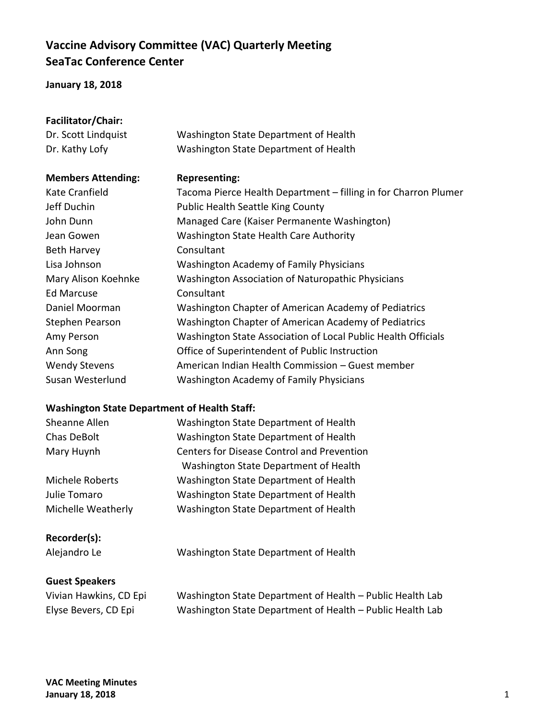## **Vaccine Advisory Committee (VAC) Quarterly Meeting SeaTac Conference Center**

## **January 18, 2018**

| Facilitator/Chair:                                  |                                                                 |  |  |
|-----------------------------------------------------|-----------------------------------------------------------------|--|--|
| Dr. Scott Lindquist                                 | Washington State Department of Health                           |  |  |
| Dr. Kathy Lofy                                      | Washington State Department of Health                           |  |  |
| <b>Members Attending:</b>                           | <b>Representing:</b>                                            |  |  |
| Kate Cranfield                                      | Tacoma Pierce Health Department - filling in for Charron Plumer |  |  |
| Jeff Duchin                                         | <b>Public Health Seattle King County</b>                        |  |  |
| John Dunn                                           | Managed Care (Kaiser Permanente Washington)                     |  |  |
| Jean Gowen                                          | Washington State Health Care Authority                          |  |  |
| <b>Beth Harvey</b>                                  | Consultant                                                      |  |  |
| Lisa Johnson                                        | <b>Washington Academy of Family Physicians</b>                  |  |  |
| Mary Alison Koehnke                                 | Washington Association of Naturopathic Physicians               |  |  |
| <b>Ed Marcuse</b>                                   | Consultant                                                      |  |  |
| Daniel Moorman                                      | Washington Chapter of American Academy of Pediatrics            |  |  |
| Stephen Pearson                                     | Washington Chapter of American Academy of Pediatrics            |  |  |
| Amy Person                                          | Washington State Association of Local Public Health Officials   |  |  |
| Ann Song                                            | Office of Superintendent of Public Instruction                  |  |  |
| <b>Wendy Stevens</b>                                | American Indian Health Commission - Guest member                |  |  |
| Susan Westerlund                                    | <b>Washington Academy of Family Physicians</b>                  |  |  |
| <b>Washington State Department of Health Staff:</b> |                                                                 |  |  |
| Sheanne Allen                                       | Washington State Department of Health                           |  |  |
| Chas DeBolt                                         | Washington State Department of Health                           |  |  |
| Mary Huynh                                          | <b>Centers for Disease Control and Prevention</b>               |  |  |
|                                                     | Washington State Department of Health                           |  |  |
| Michele Roberts                                     | Washington State Department of Health                           |  |  |
| Julie Tomaro                                        | Washington State Department of Health                           |  |  |
| Michelle Weatherly                                  | Washington State Department of Health                           |  |  |
| Recorder(s):                                        |                                                                 |  |  |
| Alejandro Le                                        | Washington State Department of Health                           |  |  |
| <b>Guest Speakers</b>                               |                                                                 |  |  |
| Vivian Hawkins, CD Epi                              | Washington State Department of Health - Public Health Lab       |  |  |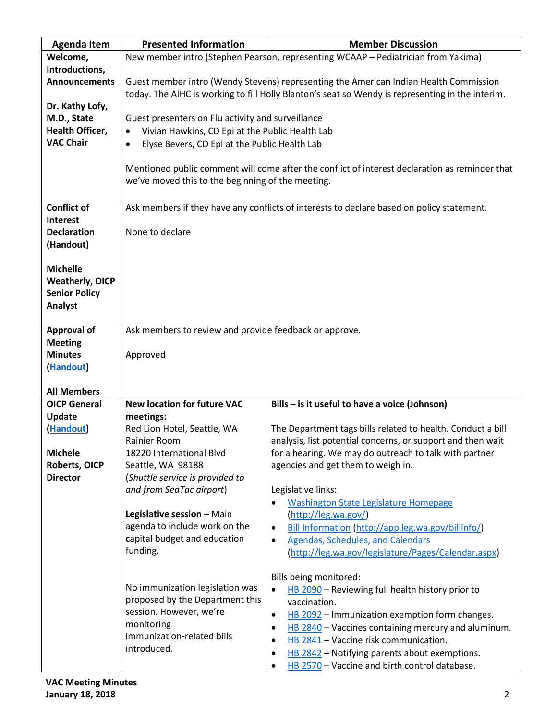| <b>Agenda Item</b>              | <b>Presented Information</b>                                                                     | <b>Member Discussion</b>                                                                                              |  |
|---------------------------------|--------------------------------------------------------------------------------------------------|-----------------------------------------------------------------------------------------------------------------------|--|
| Welcome,                        |                                                                                                  | New member intro (Stephen Pearson, representing WCAAP - Pediatrician from Yakima)                                     |  |
| Introductions,                  |                                                                                                  |                                                                                                                       |  |
| <b>Announcements</b>            | Guest member intro (Wendy Stevens) representing the American Indian Health Commission            |                                                                                                                       |  |
|                                 | today. The AIHC is working to fill Holly Blanton's seat so Wendy is representing in the interim. |                                                                                                                       |  |
| Dr. Kathy Lofy,                 |                                                                                                  |                                                                                                                       |  |
| M.D., State                     | Guest presenters on Flu activity and surveillance                                                |                                                                                                                       |  |
| <b>Health Officer,</b>          | Vivian Hawkins, CD Epi at the Public Health Lab                                                  |                                                                                                                       |  |
| <b>VAC Chair</b>                | Elyse Bevers, CD Epi at the Public Health Lab<br>$\bullet$                                       |                                                                                                                       |  |
|                                 |                                                                                                  |                                                                                                                       |  |
|                                 |                                                                                                  | Mentioned public comment will come after the conflict of interest declaration as reminder that                        |  |
|                                 | we've moved this to the beginning of the meeting.                                                |                                                                                                                       |  |
|                                 |                                                                                                  |                                                                                                                       |  |
| <b>Conflict of</b>              |                                                                                                  | Ask members if they have any conflicts of interests to declare based on policy statement.                             |  |
| <b>Interest</b>                 |                                                                                                  |                                                                                                                       |  |
| <b>Declaration</b><br>(Handout) | None to declare                                                                                  |                                                                                                                       |  |
|                                 |                                                                                                  |                                                                                                                       |  |
| <b>Michelle</b>                 |                                                                                                  |                                                                                                                       |  |
| <b>Weatherly, OICP</b>          |                                                                                                  |                                                                                                                       |  |
| <b>Senior Policy</b>            |                                                                                                  |                                                                                                                       |  |
| Analyst                         |                                                                                                  |                                                                                                                       |  |
|                                 |                                                                                                  |                                                                                                                       |  |
| <b>Approval of</b>              | Ask members to review and provide feedback or approve.                                           |                                                                                                                       |  |
| <b>Meeting</b>                  |                                                                                                  |                                                                                                                       |  |
| <b>Minutes</b>                  | Approved                                                                                         |                                                                                                                       |  |
| (Handout)                       |                                                                                                  |                                                                                                                       |  |
|                                 |                                                                                                  |                                                                                                                       |  |
| <b>All Members</b>              |                                                                                                  |                                                                                                                       |  |
| <b>OICP General</b>             | <b>New location for future VAC</b>                                                               | Bills - is it useful to have a voice (Johnson)                                                                        |  |
| Update                          | meetings:                                                                                        |                                                                                                                       |  |
| (Handout)                       | Red Lion Hotel, Seattle, WA<br>Rainier Room                                                      | The Department tags bills related to health. Conduct a bill                                                           |  |
| <b>Michele</b>                  | 18220 International Blvd                                                                         | analysis, list potential concerns, or support and then wait<br>for a hearing. We may do outreach to talk with partner |  |
| <b>Roberts, OICP</b>            | Seattle, WA 98188                                                                                | agencies and get them to weigh in.                                                                                    |  |
| <b>Director</b>                 | (Shuttle service is provided to                                                                  |                                                                                                                       |  |
|                                 | and from SeaTac airport)                                                                         | Legislative links:                                                                                                    |  |
|                                 |                                                                                                  | <b>Washington State Legislature Homepage</b><br>$\bullet$                                                             |  |
|                                 | Legislative session - Main                                                                       | (http://leg.wa.gov/)                                                                                                  |  |
|                                 | agenda to include work on the                                                                    | Bill Information (http://app.leg.wa.gov/billinfo/)<br>$\bullet$                                                       |  |
|                                 | capital budget and education                                                                     | <b>Agendas, Schedules, and Calendars</b><br>$\bullet$                                                                 |  |
|                                 | funding.                                                                                         | (http://leg.wa.gov/legislature/Pages/Calendar.aspx)                                                                   |  |
|                                 |                                                                                                  |                                                                                                                       |  |
|                                 |                                                                                                  | Bills being monitored:                                                                                                |  |
|                                 | No immunization legislation was                                                                  | HB 2090 - Reviewing full health history prior to<br>$\bullet$                                                         |  |
|                                 | proposed by the Department this                                                                  | vaccination.                                                                                                          |  |
|                                 | session. However, we're                                                                          | HB 2092 - Immunization exemption form changes.<br>$\bullet$                                                           |  |
|                                 | monitoring                                                                                       | HB 2840 - Vaccines containing mercury and aluminum.<br>٠                                                              |  |
|                                 | immunization-related bills                                                                       | HB 2841 - Vaccine risk communication.<br>$\bullet$                                                                    |  |
|                                 | introduced.                                                                                      | HB 2842 - Notifying parents about exemptions.<br>$\bullet$                                                            |  |
|                                 |                                                                                                  | HB 2570 - Vaccine and birth control database.                                                                         |  |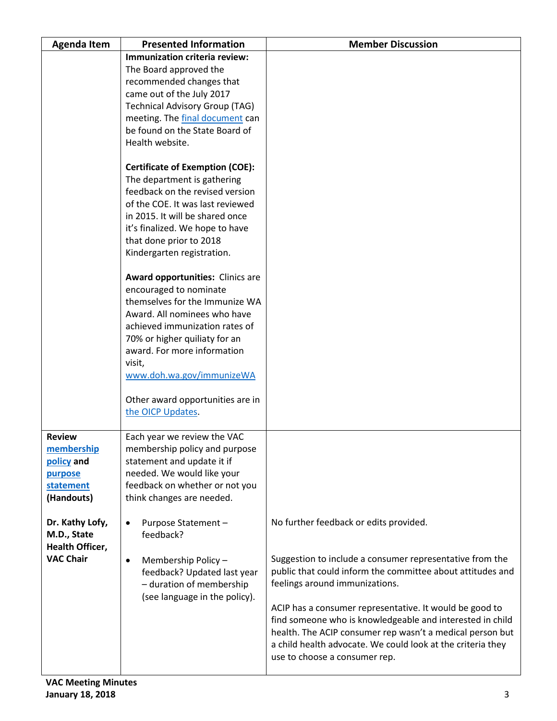| <b>Agenda Item</b> | <b>Presented Information</b>           | <b>Member Discussion</b>                                    |
|--------------------|----------------------------------------|-------------------------------------------------------------|
|                    | Immunization criteria review:          |                                                             |
|                    | The Board approved the                 |                                                             |
|                    | recommended changes that               |                                                             |
|                    | came out of the July 2017              |                                                             |
|                    | <b>Technical Advisory Group (TAG)</b>  |                                                             |
|                    | meeting. The final document can        |                                                             |
|                    | be found on the State Board of         |                                                             |
|                    | Health website.                        |                                                             |
|                    |                                        |                                                             |
|                    | <b>Certificate of Exemption (COE):</b> |                                                             |
|                    | The department is gathering            |                                                             |
|                    | feedback on the revised version        |                                                             |
|                    | of the COE. It was last reviewed       |                                                             |
|                    | in 2015. It will be shared once        |                                                             |
|                    | it's finalized. We hope to have        |                                                             |
|                    | that done prior to 2018                |                                                             |
|                    | Kindergarten registration.             |                                                             |
|                    |                                        |                                                             |
|                    | Award opportunities: Clinics are       |                                                             |
|                    | encouraged to nominate                 |                                                             |
|                    | themselves for the Immunize WA         |                                                             |
|                    | Award. All nominees who have           |                                                             |
|                    | achieved immunization rates of         |                                                             |
|                    | 70% or higher quiliaty for an          |                                                             |
|                    | award. For more information            |                                                             |
|                    | visit,                                 |                                                             |
|                    | www.doh.wa.gov/immunizeWA              |                                                             |
|                    |                                        |                                                             |
|                    | Other award opportunities are in       |                                                             |
|                    | the OICP Updates.                      |                                                             |
| <b>Review</b>      | Each year we review the VAC            |                                                             |
| membership         | membership policy and purpose          |                                                             |
| policy and         | statement and update it if             |                                                             |
| purpose            | needed. We would like your             |                                                             |
| statement          | feedback on whether or not you         |                                                             |
| (Handouts)         | think changes are needed.              |                                                             |
|                    |                                        |                                                             |
| Dr. Kathy Lofy,    | Purpose Statement -<br>$\bullet$       | No further feedback or edits provided.                      |
| M.D., State        | feedback?                              |                                                             |
| Health Officer,    |                                        |                                                             |
| <b>VAC Chair</b>   | Membership Policy -<br>$\bullet$       | Suggestion to include a consumer representative from the    |
|                    | feedback? Updated last year            | public that could inform the committee about attitudes and  |
|                    | - duration of membership               | feelings around immunizations.                              |
|                    | (see language in the policy).          |                                                             |
|                    |                                        | ACIP has a consumer representative. It would be good to     |
|                    |                                        | find someone who is knowledgeable and interested in child   |
|                    |                                        | health. The ACIP consumer rep wasn't a medical person but   |
|                    |                                        | a child health advocate. We could look at the criteria they |
|                    |                                        | use to choose a consumer rep.                               |
|                    |                                        |                                                             |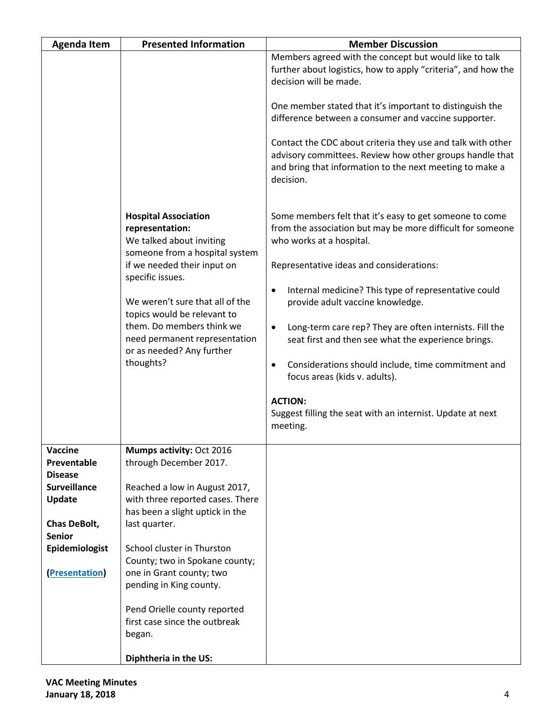| <b>Agenda Item</b>            | <b>Presented Information</b>                                                                                           | <b>Member Discussion</b>                                                                                                                                                                         |
|-------------------------------|------------------------------------------------------------------------------------------------------------------------|--------------------------------------------------------------------------------------------------------------------------------------------------------------------------------------------------|
|                               |                                                                                                                        | Members agreed with the concept but would like to talk<br>further about logistics, how to apply "criteria", and how the<br>decision will be made.                                                |
|                               |                                                                                                                        | One member stated that it's important to distinguish the<br>difference between a consumer and vaccine supporter.                                                                                 |
|                               |                                                                                                                        | Contact the CDC about criteria they use and talk with other<br>advisory committees. Review how other groups handle that<br>and bring that information to the next meeting to make a<br>decision. |
|                               | <b>Hospital Association</b><br>representation:<br>We talked about inviting<br>someone from a hospital system           | Some members felt that it's easy to get someone to come<br>from the association but may be more difficult for someone<br>who works at a hospital.                                                |
|                               | if we needed their input on                                                                                            | Representative ideas and considerations:                                                                                                                                                         |
|                               | specific issues.<br>We weren't sure that all of the                                                                    | Internal medicine? This type of representative could<br>٠<br>provide adult vaccine knowledge.                                                                                                    |
|                               | topics would be relevant to<br>them. Do members think we<br>need permanent representation<br>or as needed? Any further | Long-term care rep? They are often internists. Fill the<br>$\bullet$<br>seat first and then see what the experience brings.                                                                      |
|                               | thoughts?                                                                                                              | Considerations should include, time commitment and<br>٠<br>focus areas (kids v. adults).                                                                                                         |
|                               |                                                                                                                        | <b>ACTION:</b><br>Suggest filling the seat with an internist. Update at next<br>meeting.                                                                                                         |
| Vaccine                       | Mumps activity: Oct 2016                                                                                               |                                                                                                                                                                                                  |
| Preventable<br><b>Disease</b> | through December 2017.                                                                                                 |                                                                                                                                                                                                  |
| <b>Surveillance</b>           | Reached a low in August 2017,                                                                                          |                                                                                                                                                                                                  |
| <b>Update</b>                 | with three reported cases. There                                                                                       |                                                                                                                                                                                                  |
| <b>Chas DeBolt,</b>           | has been a slight uptick in the<br>last quarter.                                                                       |                                                                                                                                                                                                  |
| <b>Senior</b>                 |                                                                                                                        |                                                                                                                                                                                                  |
| Epidemiologist                | School cluster in Thurston<br>County; two in Spokane county;                                                           |                                                                                                                                                                                                  |
| <b>Presentation</b>           | one in Grant county; two                                                                                               |                                                                                                                                                                                                  |
|                               | pending in King county.                                                                                                |                                                                                                                                                                                                  |
|                               | Pend Orielle county reported<br>first case since the outbreak<br>began.                                                |                                                                                                                                                                                                  |
|                               | Diphtheria in the US:                                                                                                  |                                                                                                                                                                                                  |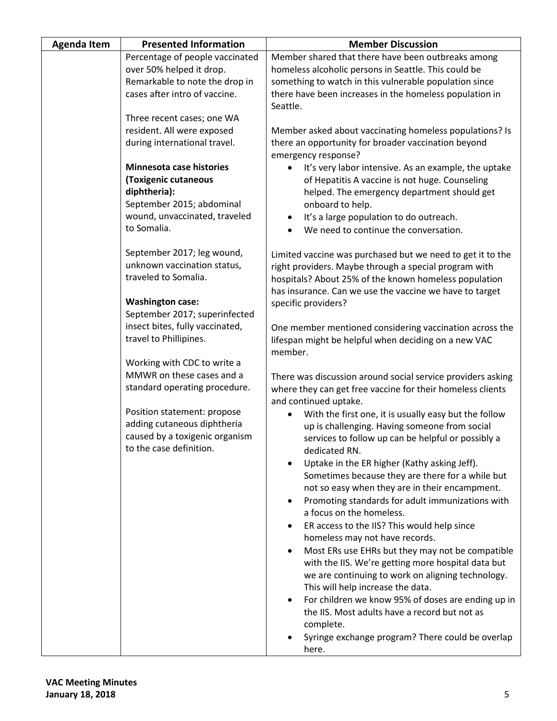| <b>Agenda Item</b> | <b>Presented Information</b>                               | <b>Member Discussion</b>                                                               |
|--------------------|------------------------------------------------------------|----------------------------------------------------------------------------------------|
|                    | Percentage of people vaccinated                            | Member shared that there have been outbreaks among                                     |
|                    | over 50% helped it drop.                                   | homeless alcoholic persons in Seattle. This could be                                   |
|                    | Remarkable to note the drop in                             | something to watch in this vulnerable population since                                 |
|                    | cases after intro of vaccine.                              | there have been increases in the homeless population in<br>Seattle.                    |
|                    | Three recent cases; one WA                                 |                                                                                        |
|                    | resident. All were exposed                                 | Member asked about vaccinating homeless populations? Is                                |
|                    | during international travel.                               | there an opportunity for broader vaccination beyond<br>emergency response?             |
|                    | <b>Minnesota case histories</b>                            | It's very labor intensive. As an example, the uptake                                   |
|                    | (Toxigenic cutaneous                                       | of Hepatitis A vaccine is not huge. Counseling                                         |
|                    | diphtheria):                                               | helped. The emergency department should get                                            |
|                    | September 2015; abdominal<br>wound, unvaccinated, traveled | onboard to help.                                                                       |
|                    | to Somalia.                                                | It's a large population to do outreach.                                                |
|                    |                                                            | We need to continue the conversation.                                                  |
|                    | September 2017; leg wound,                                 | Limited vaccine was purchased but we need to get it to the                             |
|                    | unknown vaccination status,                                | right providers. Maybe through a special program with                                  |
|                    | traveled to Somalia.                                       | hospitals? About 25% of the known homeless population                                  |
|                    |                                                            | has insurance. Can we use the vaccine we have to target                                |
|                    | <b>Washington case:</b>                                    | specific providers?                                                                    |
|                    | September 2017; superinfected                              |                                                                                        |
|                    | insect bites, fully vaccinated,                            | One member mentioned considering vaccination across the                                |
|                    | travel to Phillipines.                                     | lifespan might be helpful when deciding on a new VAC                                   |
|                    | Working with CDC to write a                                | member.                                                                                |
|                    | MMWR on these cases and a                                  | There was discussion around social service providers asking                            |
|                    | standard operating procedure.                              | where they can get free vaccine for their homeless clients                             |
|                    |                                                            | and continued uptake.                                                                  |
|                    | Position statement: propose                                | With the first one, it is usually easy but the follow                                  |
|                    | adding cutaneous diphtheria                                | up is challenging. Having someone from social                                          |
|                    | caused by a toxigenic organism                             | services to follow up can be helpful or possibly a                                     |
|                    | to the case definition.                                    | dedicated RN.                                                                          |
|                    |                                                            | Uptake in the ER higher (Kathy asking Jeff).                                           |
|                    |                                                            | Sometimes because they are there for a while but                                       |
|                    |                                                            | not so easy when they are in their encampment.                                         |
|                    |                                                            | Promoting standards for adult immunizations with<br>$\bullet$                          |
|                    |                                                            | a focus on the homeless.                                                               |
|                    |                                                            | ER access to the IIS? This would help since                                            |
|                    |                                                            | homeless may not have records.                                                         |
|                    |                                                            | Most ERs use EHRs but they may not be compatible                                       |
|                    |                                                            | with the IIS. We're getting more hospital data but                                     |
|                    |                                                            | we are continuing to work on aligning technology.<br>This will help increase the data. |
|                    |                                                            | For children we know 95% of doses are ending up in                                     |
|                    |                                                            | the IIS. Most adults have a record but not as                                          |
|                    |                                                            | complete.                                                                              |
|                    |                                                            | Syringe exchange program? There could be overlap                                       |
|                    |                                                            | here.                                                                                  |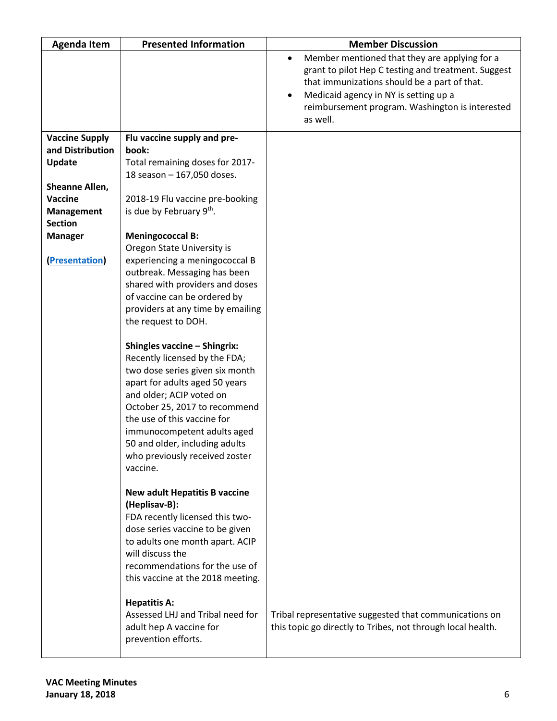| <b>Agenda Item</b>    | <b>Presented Information</b>                                                                                                                                                                                                                                                                                                                         | <b>Member Discussion</b>                                                                                                                                                                                                                                     |
|-----------------------|------------------------------------------------------------------------------------------------------------------------------------------------------------------------------------------------------------------------------------------------------------------------------------------------------------------------------------------------------|--------------------------------------------------------------------------------------------------------------------------------------------------------------------------------------------------------------------------------------------------------------|
|                       |                                                                                                                                                                                                                                                                                                                                                      | Member mentioned that they are applying for a<br>grant to pilot Hep C testing and treatment. Suggest<br>that immunizations should be a part of that.<br>Medicaid agency in NY is setting up a<br>reimbursement program. Washington is interested<br>as well. |
| <b>Vaccine Supply</b> | Flu vaccine supply and pre-                                                                                                                                                                                                                                                                                                                          |                                                                                                                                                                                                                                                              |
| and Distribution      | book:                                                                                                                                                                                                                                                                                                                                                |                                                                                                                                                                                                                                                              |
| <b>Update</b>         | Total remaining doses for 2017-                                                                                                                                                                                                                                                                                                                      |                                                                                                                                                                                                                                                              |
|                       | 18 season - 167,050 doses.                                                                                                                                                                                                                                                                                                                           |                                                                                                                                                                                                                                                              |
| Sheanne Allen,        |                                                                                                                                                                                                                                                                                                                                                      |                                                                                                                                                                                                                                                              |
| <b>Vaccine</b>        | 2018-19 Flu vaccine pre-booking                                                                                                                                                                                                                                                                                                                      |                                                                                                                                                                                                                                                              |
| <b>Management</b>     | is due by February 9th.                                                                                                                                                                                                                                                                                                                              |                                                                                                                                                                                                                                                              |
| <b>Section</b>        |                                                                                                                                                                                                                                                                                                                                                      |                                                                                                                                                                                                                                                              |
| <b>Manager</b>        | <b>Meningococcal B:</b>                                                                                                                                                                                                                                                                                                                              |                                                                                                                                                                                                                                                              |
|                       | Oregon State University is                                                                                                                                                                                                                                                                                                                           |                                                                                                                                                                                                                                                              |
| <b>Presentation</b>   | experiencing a meningococcal B                                                                                                                                                                                                                                                                                                                       |                                                                                                                                                                                                                                                              |
|                       | outbreak. Messaging has been                                                                                                                                                                                                                                                                                                                         |                                                                                                                                                                                                                                                              |
|                       | shared with providers and doses                                                                                                                                                                                                                                                                                                                      |                                                                                                                                                                                                                                                              |
|                       | of vaccine can be ordered by                                                                                                                                                                                                                                                                                                                         |                                                                                                                                                                                                                                                              |
|                       | providers at any time by emailing<br>the request to DOH.                                                                                                                                                                                                                                                                                             |                                                                                                                                                                                                                                                              |
|                       |                                                                                                                                                                                                                                                                                                                                                      |                                                                                                                                                                                                                                                              |
|                       | <b>Shingles vaccine - Shingrix:</b><br>Recently licensed by the FDA;<br>two dose series given six month<br>apart for adults aged 50 years<br>and older; ACIP voted on<br>October 25, 2017 to recommend<br>the use of this vaccine for<br>immunocompetent adults aged<br>50 and older, including adults<br>who previously received zoster<br>vaccine. |                                                                                                                                                                                                                                                              |
|                       | <b>New adult Hepatitis B vaccine</b><br>(Heplisav-B):<br>FDA recently licensed this two-<br>dose series vaccine to be given<br>to adults one month apart. ACIP<br>will discuss the<br>recommendations for the use of<br>this vaccine at the 2018 meeting.<br><b>Hepatitis A:</b><br>Assessed LHJ and Tribal need for<br>adult hep A vaccine for      | Tribal representative suggested that communications on<br>this topic go directly to Tribes, not through local health.                                                                                                                                        |
|                       | prevention efforts.                                                                                                                                                                                                                                                                                                                                  |                                                                                                                                                                                                                                                              |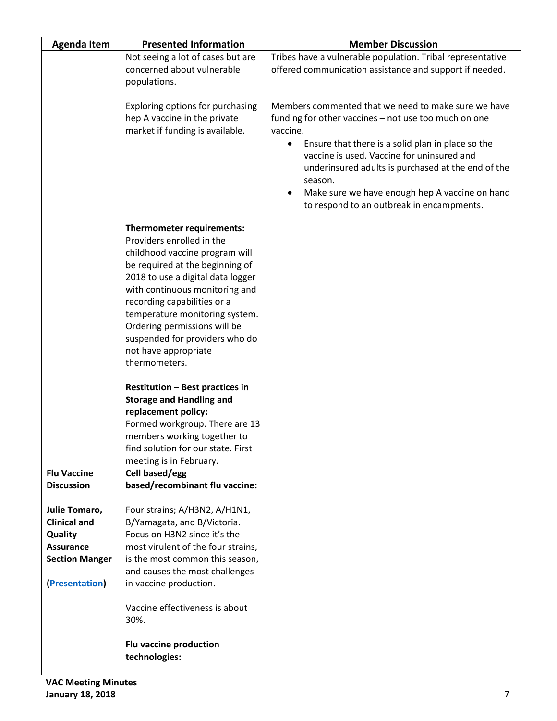| <b>Agenda Item</b>    | <b>Presented Information</b>                                      | <b>Member Discussion</b>                                       |
|-----------------------|-------------------------------------------------------------------|----------------------------------------------------------------|
|                       | Not seeing a lot of cases but are                                 | Tribes have a vulnerable population. Tribal representative     |
|                       | concerned about vulnerable                                        | offered communication assistance and support if needed.        |
|                       | populations.                                                      |                                                                |
|                       | Exploring options for purchasing                                  | Members commented that we need to make sure we have            |
|                       | hep A vaccine in the private                                      | funding for other vaccines - not use too much on one           |
|                       | market if funding is available.                                   | vaccine.                                                       |
|                       |                                                                   | Ensure that there is a solid plan in place so the<br>$\bullet$ |
|                       |                                                                   | vaccine is used. Vaccine for uninsured and                     |
|                       |                                                                   | underinsured adults is purchased at the end of the             |
|                       |                                                                   | season.<br>Make sure we have enough hep A vaccine on hand      |
|                       |                                                                   | to respond to an outbreak in encampments.                      |
|                       |                                                                   |                                                                |
|                       | Thermometer requirements:                                         |                                                                |
|                       | Providers enrolled in the                                         |                                                                |
|                       | childhood vaccine program will<br>be required at the beginning of |                                                                |
|                       | 2018 to use a digital data logger                                 |                                                                |
|                       | with continuous monitoring and                                    |                                                                |
|                       | recording capabilities or a                                       |                                                                |
|                       | temperature monitoring system.                                    |                                                                |
|                       | Ordering permissions will be                                      |                                                                |
|                       | suspended for providers who do<br>not have appropriate            |                                                                |
|                       | thermometers.                                                     |                                                                |
|                       |                                                                   |                                                                |
|                       | <b>Restitution - Best practices in</b>                            |                                                                |
|                       | <b>Storage and Handling and</b>                                   |                                                                |
|                       | replacement policy:                                               |                                                                |
|                       | Formed workgroup. There are 13<br>members working together to     |                                                                |
|                       | find solution for our state. First                                |                                                                |
|                       | meeting is in February.                                           |                                                                |
| <b>Flu Vaccine</b>    | Cell based/egg                                                    |                                                                |
| <b>Discussion</b>     | based/recombinant flu vaccine:                                    |                                                                |
| Julie Tomaro,         | Four strains; A/H3N2, A/H1N1,                                     |                                                                |
| <b>Clinical and</b>   | B/Yamagata, and B/Victoria.                                       |                                                                |
| <b>Quality</b>        | Focus on H3N2 since it's the                                      |                                                                |
| <b>Assurance</b>      | most virulent of the four strains,                                |                                                                |
| <b>Section Manger</b> | is the most common this season,                                   |                                                                |
|                       | and causes the most challenges                                    |                                                                |
| <b>Presentation</b>   | in vaccine production.                                            |                                                                |
|                       | Vaccine effectiveness is about                                    |                                                                |
|                       | 30%.                                                              |                                                                |
|                       |                                                                   |                                                                |
|                       | Flu vaccine production                                            |                                                                |
|                       | technologies:                                                     |                                                                |
|                       |                                                                   |                                                                |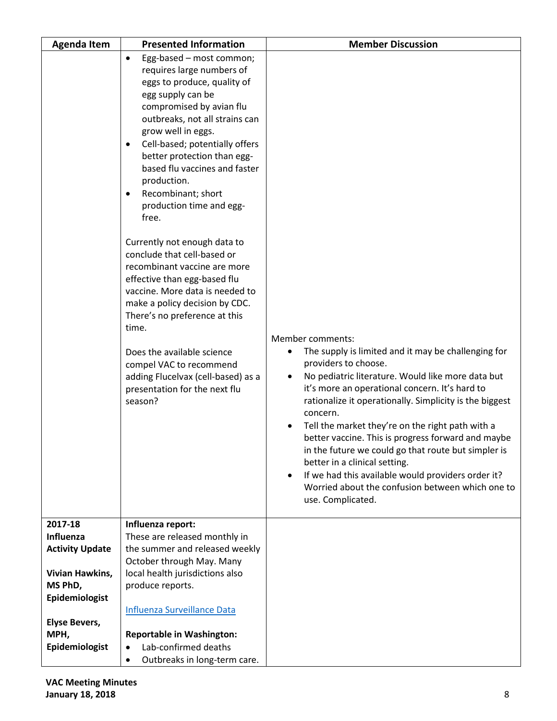| <b>Agenda Item</b>     | <b>Presented Information</b>                                                                                                                                                                                                                                                                                                                                                                                                                                                                                                                                                                                                                                                                                                                                                                              | <b>Member Discussion</b>                                                                                                                                                                                                                                                                                                                                                                                                                                                                                                                                                                                                                              |
|------------------------|-----------------------------------------------------------------------------------------------------------------------------------------------------------------------------------------------------------------------------------------------------------------------------------------------------------------------------------------------------------------------------------------------------------------------------------------------------------------------------------------------------------------------------------------------------------------------------------------------------------------------------------------------------------------------------------------------------------------------------------------------------------------------------------------------------------|-------------------------------------------------------------------------------------------------------------------------------------------------------------------------------------------------------------------------------------------------------------------------------------------------------------------------------------------------------------------------------------------------------------------------------------------------------------------------------------------------------------------------------------------------------------------------------------------------------------------------------------------------------|
|                        | Egg-based - most common;<br>$\bullet$<br>requires large numbers of<br>eggs to produce, quality of<br>egg supply can be<br>compromised by avian flu<br>outbreaks, not all strains can<br>grow well in eggs.<br>Cell-based; potentially offers<br>$\bullet$<br>better protection than egg-<br>based flu vaccines and faster<br>production.<br>Recombinant; short<br>$\bullet$<br>production time and egg-<br>free.<br>Currently not enough data to<br>conclude that cell-based or<br>recombinant vaccine are more<br>effective than egg-based flu<br>vaccine. More data is needed to<br>make a policy decision by CDC.<br>There's no preference at this<br>time.<br>Does the available science<br>compel VAC to recommend<br>adding Flucelvax (cell-based) as a<br>presentation for the next flu<br>season? | Member comments:<br>The supply is limited and it may be challenging for<br>$\bullet$<br>providers to choose.<br>No pediatric literature. Would like more data but<br>$\bullet$<br>it's more an operational concern. It's hard to<br>rationalize it operationally. Simplicity is the biggest<br>concern.<br>Tell the market they're on the right path with a<br>better vaccine. This is progress forward and maybe<br>in the future we could go that route but simpler is<br>better in a clinical setting.<br>If we had this available would providers order it?<br>$\bullet$<br>Worried about the confusion between which one to<br>use. Complicated. |
| 2017-18                | Influenza report:                                                                                                                                                                                                                                                                                                                                                                                                                                                                                                                                                                                                                                                                                                                                                                                         |                                                                                                                                                                                                                                                                                                                                                                                                                                                                                                                                                                                                                                                       |
| Influenza              | These are released monthly in                                                                                                                                                                                                                                                                                                                                                                                                                                                                                                                                                                                                                                                                                                                                                                             |                                                                                                                                                                                                                                                                                                                                                                                                                                                                                                                                                                                                                                                       |
| <b>Activity Update</b> | the summer and released weekly<br>October through May. Many                                                                                                                                                                                                                                                                                                                                                                                                                                                                                                                                                                                                                                                                                                                                               |                                                                                                                                                                                                                                                                                                                                                                                                                                                                                                                                                                                                                                                       |
| Vivian Hawkins,        | local health jurisdictions also                                                                                                                                                                                                                                                                                                                                                                                                                                                                                                                                                                                                                                                                                                                                                                           |                                                                                                                                                                                                                                                                                                                                                                                                                                                                                                                                                                                                                                                       |
| MS PhD,                | produce reports.                                                                                                                                                                                                                                                                                                                                                                                                                                                                                                                                                                                                                                                                                                                                                                                          |                                                                                                                                                                                                                                                                                                                                                                                                                                                                                                                                                                                                                                                       |
| Epidemiologist         |                                                                                                                                                                                                                                                                                                                                                                                                                                                                                                                                                                                                                                                                                                                                                                                                           |                                                                                                                                                                                                                                                                                                                                                                                                                                                                                                                                                                                                                                                       |
|                        | <b>Influenza Surveillance Data</b>                                                                                                                                                                                                                                                                                                                                                                                                                                                                                                                                                                                                                                                                                                                                                                        |                                                                                                                                                                                                                                                                                                                                                                                                                                                                                                                                                                                                                                                       |
| <b>Elyse Bevers,</b>   |                                                                                                                                                                                                                                                                                                                                                                                                                                                                                                                                                                                                                                                                                                                                                                                                           |                                                                                                                                                                                                                                                                                                                                                                                                                                                                                                                                                                                                                                                       |
| MPH,                   | <b>Reportable in Washington:</b>                                                                                                                                                                                                                                                                                                                                                                                                                                                                                                                                                                                                                                                                                                                                                                          |                                                                                                                                                                                                                                                                                                                                                                                                                                                                                                                                                                                                                                                       |
| Epidemiologist         | Lab-confirmed deaths<br>$\bullet$                                                                                                                                                                                                                                                                                                                                                                                                                                                                                                                                                                                                                                                                                                                                                                         |                                                                                                                                                                                                                                                                                                                                                                                                                                                                                                                                                                                                                                                       |
|                        | Outbreaks in long-term care.<br>$\bullet$                                                                                                                                                                                                                                                                                                                                                                                                                                                                                                                                                                                                                                                                                                                                                                 |                                                                                                                                                                                                                                                                                                                                                                                                                                                                                                                                                                                                                                                       |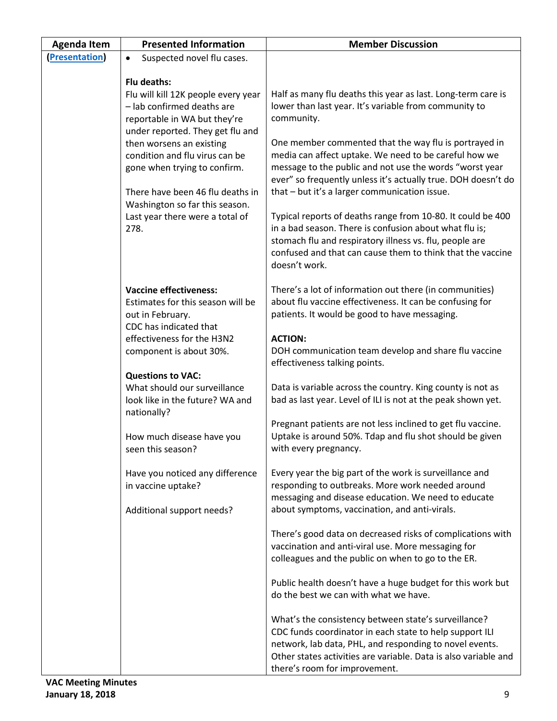| <b>Agenda Item</b>  | <b>Presented Information</b>                                                                                                                                                                                                                                                                                                                                        | <b>Member Discussion</b>                                                                                                                                                                                                                                                                                                                                                                                                                                                                                                                                                                                                                                                                              |
|---------------------|---------------------------------------------------------------------------------------------------------------------------------------------------------------------------------------------------------------------------------------------------------------------------------------------------------------------------------------------------------------------|-------------------------------------------------------------------------------------------------------------------------------------------------------------------------------------------------------------------------------------------------------------------------------------------------------------------------------------------------------------------------------------------------------------------------------------------------------------------------------------------------------------------------------------------------------------------------------------------------------------------------------------------------------------------------------------------------------|
| <b>Presentation</b> | Suspected novel flu cases.<br>$\bullet$                                                                                                                                                                                                                                                                                                                             |                                                                                                                                                                                                                                                                                                                                                                                                                                                                                                                                                                                                                                                                                                       |
|                     | Flu deaths:<br>Flu will kill 12K people every year<br>- lab confirmed deaths are<br>reportable in WA but they're<br>under reported. They get flu and<br>then worsens an existing<br>condition and flu virus can be<br>gone when trying to confirm.<br>There have been 46 flu deaths in<br>Washington so far this season.<br>Last year there were a total of<br>278. | Half as many flu deaths this year as last. Long-term care is<br>lower than last year. It's variable from community to<br>community.<br>One member commented that the way flu is portrayed in<br>media can affect uptake. We need to be careful how we<br>message to the public and not use the words "worst year<br>ever" so frequently unless it's actually true. DOH doesn't do<br>that - but it's a larger communication issue.<br>Typical reports of deaths range from 10-80. It could be 400<br>in a bad season. There is confusion about what flu is;<br>stomach flu and respiratory illness vs. flu, people are<br>confused and that can cause them to think that the vaccine<br>doesn't work. |
|                     | <b>Vaccine effectiveness:</b><br>Estimates for this season will be<br>out in February.<br>CDC has indicated that<br>effectiveness for the H3N2<br>component is about 30%.                                                                                                                                                                                           | There's a lot of information out there (in communities)<br>about flu vaccine effectiveness. It can be confusing for<br>patients. It would be good to have messaging.<br><b>ACTION:</b><br>DOH communication team develop and share flu vaccine                                                                                                                                                                                                                                                                                                                                                                                                                                                        |
|                     | <b>Questions to VAC:</b><br>What should our surveillance<br>look like in the future? WA and<br>nationally?                                                                                                                                                                                                                                                          | effectiveness talking points.<br>Data is variable across the country. King county is not as<br>bad as last year. Level of ILI is not at the peak shown yet.                                                                                                                                                                                                                                                                                                                                                                                                                                                                                                                                           |
|                     | How much disease have you<br>seen this season?                                                                                                                                                                                                                                                                                                                      | Pregnant patients are not less inclined to get flu vaccine.<br>Uptake is around 50%. Tdap and flu shot should be given<br>with every pregnancy.                                                                                                                                                                                                                                                                                                                                                                                                                                                                                                                                                       |
|                     | Have you noticed any difference<br>in vaccine uptake?<br>Additional support needs?                                                                                                                                                                                                                                                                                  | Every year the big part of the work is surveillance and<br>responding to outbreaks. More work needed around<br>messaging and disease education. We need to educate<br>about symptoms, vaccination, and anti-virals.                                                                                                                                                                                                                                                                                                                                                                                                                                                                                   |
|                     |                                                                                                                                                                                                                                                                                                                                                                     | There's good data on decreased risks of complications with<br>vaccination and anti-viral use. More messaging for<br>colleagues and the public on when to go to the ER.                                                                                                                                                                                                                                                                                                                                                                                                                                                                                                                                |
|                     |                                                                                                                                                                                                                                                                                                                                                                     | Public health doesn't have a huge budget for this work but<br>do the best we can with what we have.                                                                                                                                                                                                                                                                                                                                                                                                                                                                                                                                                                                                   |
|                     |                                                                                                                                                                                                                                                                                                                                                                     | What's the consistency between state's surveillance?<br>CDC funds coordinator in each state to help support ILI<br>network, lab data, PHL, and responding to novel events.<br>Other states activities are variable. Data is also variable and<br>there's room for improvement.                                                                                                                                                                                                                                                                                                                                                                                                                        |